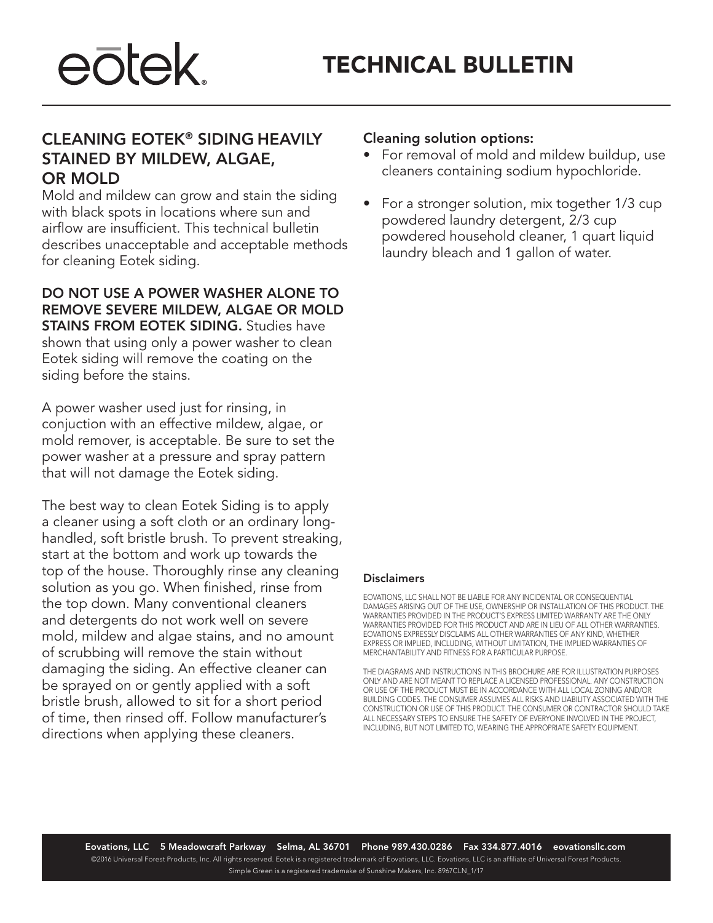

## CLEANING EOTEK® SIDING HEAVILY STAINED BY MILDEW, ALGAE, OR MOLD

Mold and mildew can grow and stain the siding with black spots in locations where sun and airflow are insufficient. This technical bulletin describes unacceptable and acceptable methods for cleaning Eotek siding.

DO NOT USE A POWER WASHER ALONE TO REMOVE SEVERE MILDEW, ALGAE OR MOLD **STAINS FROM EOTEK SIDING.** Studies have shown that using only a power washer to clean Eotek siding will remove the coating on the siding before the stains.

A power washer used just for rinsing, in conjuction with an effective mildew, algae, or mold remover, is acceptable. Be sure to set the power washer at a pressure and spray pattern that will not damage the Eotek siding.

The best way to clean Eotek Siding is to apply a cleaner using a soft cloth or an ordinary longhandled, soft bristle brush. To prevent streaking, start at the bottom and work up towards the top of the house. Thoroughly rinse any cleaning solution as you go. When finished, rinse from the top down. Many conventional cleaners and detergents do not work well on severe mold, mildew and algae stains, and no amount of scrubbing will remove the stain without damaging the siding. An effective cleaner can be sprayed on or gently applied with a soft bristle brush, allowed to sit for a short period of time, then rinsed off. Follow manufacturer's directions when applying these cleaners.

### Cleaning solution options:

- For removal of mold and mildew buildup, use cleaners containing sodium hypochloride.
- For a stronger solution, mix together 1/3 cup powdered laundry detergent, 2/3 cup powdered household cleaner, 1 quart liquid laundry bleach and 1 gallon of water.

#### **Disclaimers**

EOVATIONS, LLC SHALL NOT BE LIABLE FOR ANY INCIDENTAL OR CONSEQUENTIAL DAMAGES ARISING OUT OF THE USE, OWNERSHIP OR INSTALLATION OF THIS PRODUCT. THE WARRANTIES PROVIDED IN THE PRODUCT'S EXPRESS LIMITED WARRANTY ARE THE ONLY WARRANTIES PROVIDED FOR THIS PRODUCT AND ARE IN LIEU OF ALL OTHER WARRANTIES. EOVATIONS EXPRESSLY DISCLAIMS ALL OTHER WARRANTIES OF ANY KIND, WHETHER EXPRESS OR IMPLIED, INCLUDING, WITHOUT LIMITATION, THE IMPLIED WARRANTIES OF MERCHANTABILITY AND FITNESS FOR A PARTICULAR PURPOSE.

THE DIAGRAMS AND INSTRUCTIONS IN THIS BROCHURE ARE FOR ILLUSTRATION PURPOSES ONLY AND ARE NOT MEANT TO REPLACE A LICENSED PROFESSIONAL. ANY CONSTRUCTION OR USE OF THE PRODUCT MUST BE IN ACCORDANCE WITH ALL LOCAL ZONING AND/OR BUILDING CODES. THE CONSUMER ASSUMES ALL RISKS AND LIABILITY ASSOCIATED WITH THE CONSTRUCTION OR USE OF THIS PRODUCT. THE CONSUMER OR CONTRACTOR SHOULD TAKE ALL NECESSARY STEPS TO ENSURE THE SAFETY OF EVERYONE INVOLVED IN THE PROJECT, INCLUDING, BUT NOT LIMITED TO, WEARING THE APPROPRIATE SAFETY EQUIPMENT.